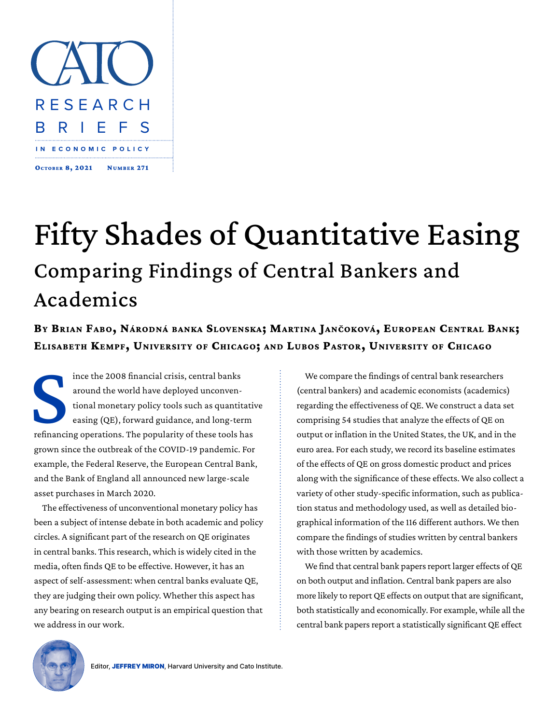

## Fifty Shades of Quantitative Easing Comparing Findings of Central Bankers and Academics

**By Brian Fabo, Národná banka Slovenska; Martina Jančoková, European Central Bank; Elisabeth Kempf, University of Chicago; and Lubos Pastor, University of Chicago**

Semanci ince the 2008 financial crisis, central banks around the world have deployed unconventional monetary policy tools such as quantitative easing (QE), forward guidance, and long-term refinancing operations. The popularity of these tools has grown since the outbreak of the COVID-19 pandemic. For example, the Federal Reserve, the European Central Bank, and the Bank of England all announced new large-scale asset purchases in March 2020.

The effectiveness of unconventional monetary policy has been a subject of intense debate in both academic and policy circles. A significant part of the research on QE originates in central banks. This research, which is widely cited in the media, often finds QE to be effective. However, it has an aspect of self-assessment: when central banks evaluate QE, they are judging their own policy. Whether this aspect has any bearing on research output is an empirical question that we address in our work.

We compare the findings of central bank researchers (central bankers) and academic economists (academics) regarding the effectiveness of QE. We construct a data set comprising 54 studies that analyze the effects of QE on output or inflation in the United States, the UK, and in the euro area. For each study, we record its baseline estimates of the effects of QE on gross domestic product and prices along with the significance of these effects. We also collect a variety of other study-specific information, such as publication status and methodology used, as well as detailed biographical information of the 116 different authors. We then compare the findings of studies written by central bankers with those written by academics.

We find that central bank papers report larger effects of QE on both output and inflation. Central bank papers are also more likely to report QE effects on output that are significant, both statistically and economically. For example, while all the central bank papers report a statistically significant QE effect

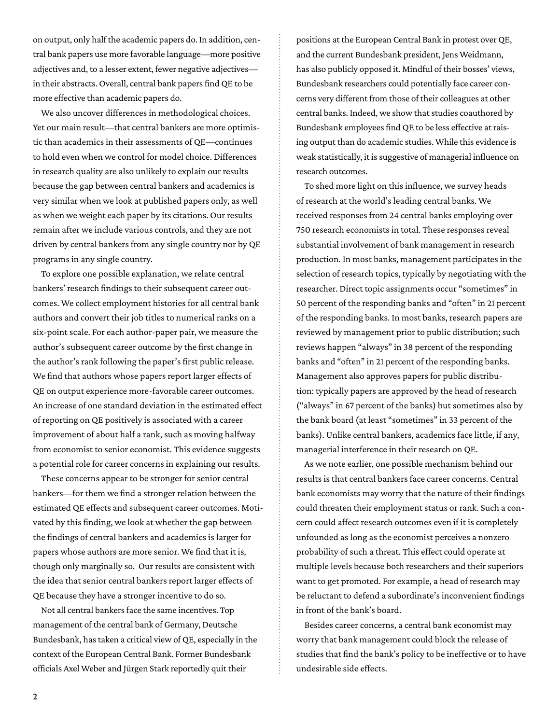on output, only half the academic papers do. In addition, central bank papers use more favorable language—more positive adjectives and, to a lesser extent, fewer negative adjectives in their abstracts. Overall, central bank papers find QE to be more effective than academic papers do.

We also uncover differences in methodological choices. Yet our main result—that central bankers are more optimistic than academics in their assessments of QE—continues to hold even when we control for model choice. Differences in research quality are also unlikely to explain our results because the gap between central bankers and academics is very similar when we look at published papers only, as well as when we weight each paper by its citations. Our results remain after we include various controls, and they are not driven by central bankers from any single country nor by QE programs in any single country.

To explore one possible explanation, we relate central bankers' research findings to their subsequent career outcomes. We collect employment histories for all central bank authors and convert their job titles to numerical ranks on a six-point scale. For each author-paper pair, we measure the author's subsequent career outcome by the first change in the author's rank following the paper's first public release. We find that authors whose papers report larger effects of QE on output experience more-favorable career outcomes. An increase of one standard deviation in the estimated effect of reporting on QE positively is associated with a career improvement of about half a rank, such as moving halfway from economist to senior economist. This evidence suggests a potential role for career concerns in explaining our results.

These concerns appear to be stronger for senior central bankers—for them we find a stronger relation between the estimated QE effects and subsequent career outcomes. Motivated by this finding, we look at whether the gap between the findings of central bankers and academics is larger for papers whose authors are more senior. We find that it is, though only marginally so. Our results are consistent with the idea that senior central bankers report larger effects of QE because they have a stronger incentive to do so.

Not all central bankers face the same incentives. Top management of the central bank of Germany, Deutsche Bundesbank, has taken a critical view of QE, especially in the context of the European Central Bank. Former Bundesbank officials Axel Weber and Jürgen Stark reportedly quit their

positions at the European Central Bank in protest over QE, and the current Bundesbank president, Jens Weidmann, has also publicly opposed it. Mindful of their bosses' views, Bundesbank researchers could potentially face career concerns very different from those of their colleagues at other central banks. Indeed, we show that studies coauthored by Bundesbank employees find QE to be less effective at raising output than do academic studies. While this evidence is weak statistically, it is suggestive of managerial influence on research outcomes.

To shed more light on this influence, we survey heads of research at the world's leading central banks. We received responses from 24 central banks employing over 750 research economists in total. These responses reveal substantial involvement of bank management in research production. In most banks, management participates in the selection of research topics, typically by negotiating with the researcher. Direct topic assignments occur "sometimes" in 50 percent of the responding banks and "often" in 21 percent of the responding banks. In most banks, research papers are reviewed by management prior to public distribution; such reviews happen "always" in 38 percent of the responding banks and "often" in 21 percent of the responding banks. Management also approves papers for public distribution: typically papers are approved by the head of research ("always" in 67 percent of the banks) but sometimes also by the bank board (at least "sometimes" in 33 percent of the banks). Unlike central bankers, academics face little, if any, managerial interference in their research on QE.

As we note earlier, one possible mechanism behind our results is that central bankers face career concerns. Central bank economists may worry that the nature of their findings could threaten their employment status or rank. Such a concern could affect research outcomes even if it is completely unfounded as long as the economist perceives a nonzero probability of such a threat. This effect could operate at multiple levels because both researchers and their superiors want to get promoted. For example, a head of research may be reluctant to defend a subordinate's inconvenient findings in front of the bank's board.

Besides career concerns, a central bank economist may worry that bank management could block the release of studies that find the bank's policy to be ineffective or to have undesirable side effects.